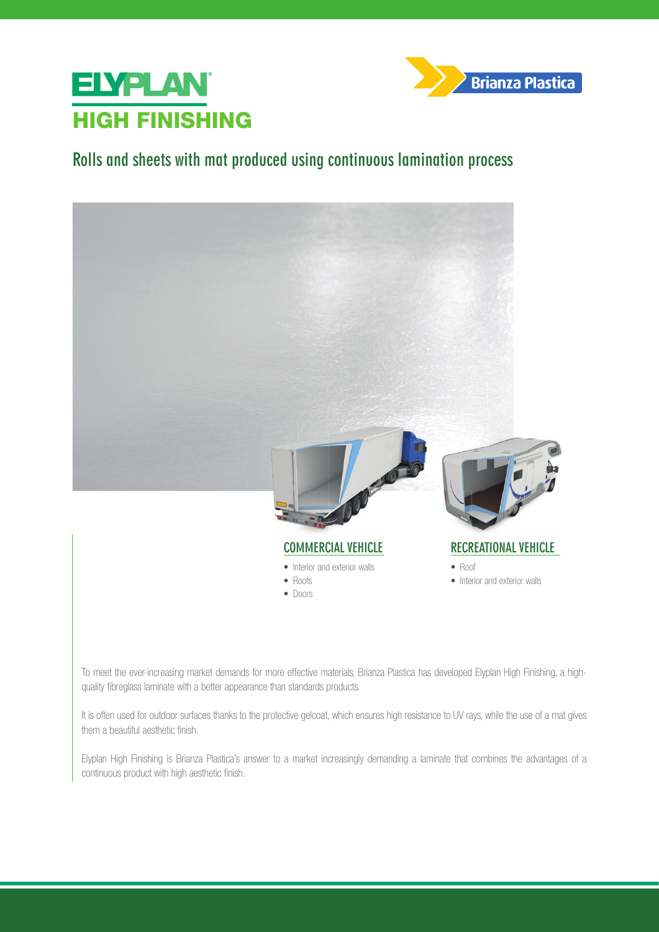



## **Rolls and sheets with mat produced using continuous lamination process**



• Interior and exterior walls

To meet the ever-increasing market demands for more effective materials, Brianza Plastica has developed Elyplan High Finishing, a highquality fibreglass laminate with a better appearance than standards products.

• Roofs • Doors

It is often used for outdoor surfaces thanks to the protective gelcoat, which ensures high resistance to UV rays, while the use of a mat gives them a beautiful aesthetic finish.

Elyplan High Finishing is Brianza Plastica's answer to a market increasingly demanding a laminate that combines the advantages of a continuous product with high aesthetic finish.